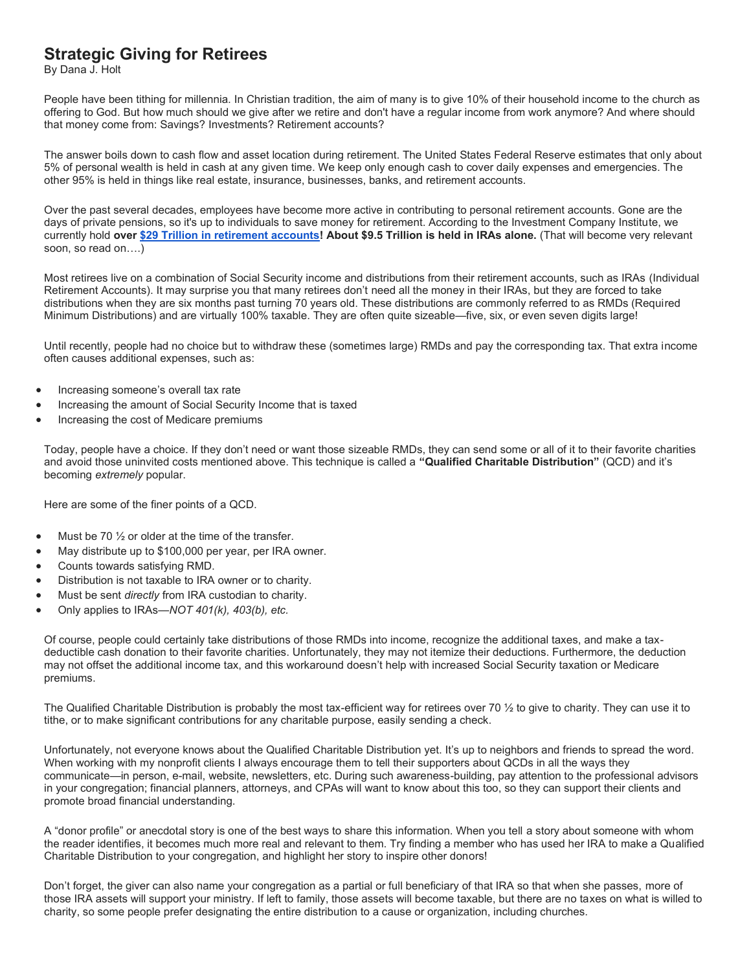## **Strategic Giving for Retirees**

By Dana J. Holt

People have been tithing for millennia. In Christian tradition, the aim of many is to give 10% of their household income to the church as offering to God. But how much should we give after we retire and don't have a regular income from work anymore? And where should that money come from: Savings? Investments? Retirement accounts?

The answer boils down to cash flow and asset location during retirement. The United States Federal Reserve estimates that only about 5% of personal wealth is held in cash at any given time. We keep only enough cash to cover daily expenses and emergencies. The other 95% is held in things like real estate, insurance, businesses, banks, and retirement accounts.

Over the past several decades, employees have become more active in contributing to personal retirement accounts. Gone are the days of private pensions, so it's up to individuals to save money for retirement. According to the Investment Company Institute, we currently hold **over [\\$29 Trillion in retirement accounts!](http://send.luthersem.edu/t/l?ssid=13694&subscriber_id=animtamfdewtiifxfqwbwqzyfdrpbfe&delivery_id=arnvlznqddkojmnwrmuvyshoijfmbgb&td=CiDouSCF7wUzhwo2lc4tGw-zUfiThIAGTbQ7sk1WCErjnLNfrZfeWzFPAI0y1Bd4IsAXIv8CTbrKHIGwTVrLm2i3v_Una3cqBf5nqHlj1R-ZFIpPVIDC14e85Fye_dCBBT1VLrhZ6CsWvUzBBxx9hLGaQ1GWg1-9XEXOHJh0NYh79gLZvA15oAaCC_DAGfoxEOwo_CyIME7CWuvSOjqF_BDS8eff-UPTEuADa8CUwJX4ifo9FYPfXh8XniPwUt3hvVvi5HSgYrSGA) About \$9.5 Trillion is held in IRAs alone.** (That will become very relevant soon, so read on….)

Most retirees live on a combination of Social Security income and distributions from their retirement accounts, such as IRAs (Individual Retirement Accounts). It may surprise you that many retirees don't need all the money in their IRAs, but they are forced to take distributions when they are six months past turning 70 years old. These distributions are commonly referred to as RMDs (Required Minimum Distributions) and are virtually 100% taxable. They are often quite sizeable—five, six, or even seven digits large!

Until recently, people had no choice but to withdraw these (sometimes large) RMDs and pay the corresponding tax. That extra income often causes additional expenses, such as:

- Increasing someone's overall tax rate
- Increasing the amount of Social Security Income that is taxed
- Increasing the cost of Medicare premiums

Today, people have a choice. If they don't need or want those sizeable RMDs, they can send some or all of it to their favorite charities and avoid those uninvited costs mentioned above. This technique is called a **"Qualified Charitable Distribution"** (QCD) and it's becoming *extremely* popular.

Here are some of the finer points of a QCD.

- Must be 70  $\frac{1}{2}$  or older at the time of the transfer.
- May distribute up to \$100,000 per year, per IRA owner.
- Counts towards satisfying RMD.
- Distribution is not taxable to IRA owner or to charity.
- Must be sent *directly* from IRA custodian to charity.
- Only applies to IRAs—*NOT 401(k), 403(b), etc.*

Of course, people could certainly take distributions of those RMDs into income, recognize the additional taxes, and make a taxdeductible cash donation to their favorite charities. Unfortunately, they may not itemize their deductions. Furthermore, the deduction may not offset the additional income tax, and this workaround doesn't help with increased Social Security taxation or Medicare premiums.

The Qualified Charitable Distribution is probably the most tax-efficient way for retirees over 70 ½ to give to charity. They can use it to tithe, or to make significant contributions for any charitable purpose, easily sending a check.

Unfortunately, not everyone knows about the Qualified Charitable Distribution yet. It's up to neighbors and friends to spread the word. When working with my nonprofit clients I always encourage them to tell their supporters about QCDs in all the ways they communicate—in person, e-mail, website, newsletters, etc. During such awareness-building, pay attention to the professional advisors in your congregation; financial planners, attorneys, and CPAs will want to know about this too, so they can support their clients and promote broad financial understanding.

A "donor profile" or anecdotal story is one of the best ways to share this information. When you tell a story about someone with whom the reader identifies, it becomes much more real and relevant to them. Try finding a member who has used her IRA to make a Qualified Charitable Distribution to your congregation, and highlight her story to inspire other donors!

Don't forget, the giver can also name your congregation as a partial or full beneficiary of that IRA so that when she passes, more of those IRA assets will support your ministry. If left to family, those assets will become taxable, but there are no taxes on what is willed to charity, so some people prefer designating the entire distribution to a cause or organization, including churches.